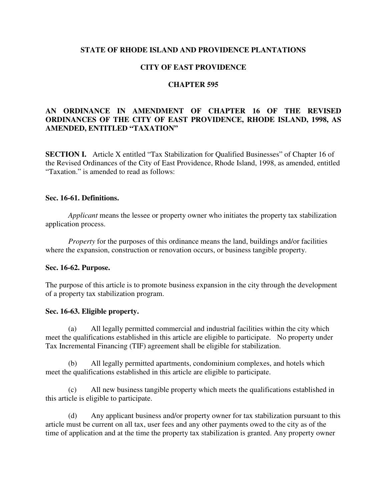## **STATE OF RHODE ISLAND AND PROVIDENCE PLANTATIONS**

## **CITY OF EAST PROVIDENCE**

## **CHAPTER 595**

## **AN ORDINANCE IN AMENDMENT OF CHAPTER 16 OF THE REVISED ORDINANCES OF THE CITY OF EAST PROVIDENCE, RHODE ISLAND, 1998, AS AMENDED, ENTITLED "TAXATION"**

**SECTION I.** Article X entitled "Tax Stabilization for Qualified Businesses" of Chapter 16 of the Revised Ordinances of the City of East Providence, Rhode Island, 1998, as amended, entitled "Taxation." is amended to read as follows:

## **Sec. 16-61. Definitions.**

*Applicant* means the lessee or property owner who initiates the property tax stabilization application process.

*Property* for the purposes of this ordinance means the land, buildings and/or facilities where the expansion, construction or renovation occurs, or business tangible property.

#### **Sec. 16-62. Purpose.**

The purpose of this article is to promote business expansion in the city through the development of a property tax stabilization program.

#### **Sec. 16-63. Eligible property.**

(a) All legally permitted commercial and industrial facilities within the city which meet the qualifications established in this article are eligible to participate. No property under Tax Incremental Financing (TIF) agreement shall be eligible for stabilization.

 (b) All legally permitted apartments, condominium complexes, and hotels which meet the qualifications established in this article are eligible to participate.

(c) All new business tangible property which meets the qualifications established in this article is eligible to participate.

(d) Any applicant business and/or property owner for tax stabilization pursuant to this article must be current on all tax, user fees and any other payments owed to the city as of the time of application and at the time the property tax stabilization is granted. Any property owner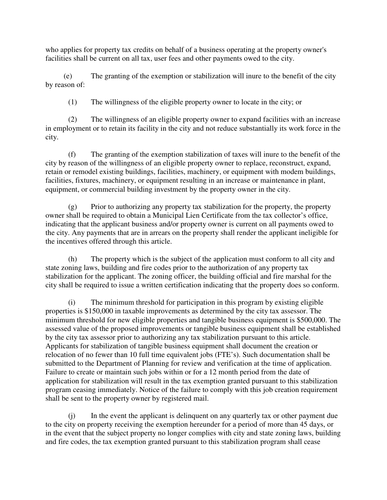who applies for property tax credits on behalf of a business operating at the property owner's facilities shall be current on all tax, user fees and other payments owed to the city.

 (e) The granting of the exemption or stabilization will inure to the benefit of the city by reason of:

(1) The willingness of the eligible property owner to locate in the city; or

(2) The willingness of an eligible property owner to expand facilities with an increase in employment or to retain its facility in the city and not reduce substantially its work force in the city.

(f) The granting of the exemption stabilization of taxes will inure to the benefit of the city by reason of the willingness of an eligible property owner to replace, reconstruct, expand, retain or remodel existing buildings, facilities, machinery, or equipment with modem buildings, facilities, fixtures, machinery, or equipment resulting in an increase or maintenance in plant, equipment, or commercial building investment by the property owner in the city.

(g) Prior to authorizing any property tax stabilization for the property, the property owner shall be required to obtain a Municipal Lien Certificate from the tax collector's office, indicating that the applicant business and/or property owner is current on all payments owed to the city. Any payments that are in arrears on the property shall render the applicant ineligible for the incentives offered through this article.

(h) The property which is the subject of the application must conform to all city and state zoning laws, building and fire codes prior to the authorization of any property tax stabilization for the applicant. The zoning officer, the building official and fire marshal for the city shall be required to issue a written certification indicating that the property does so conform.

(i) The minimum threshold for participation in this program by existing eligible properties is \$150,000 in taxable improvements as determined by the city tax assessor. The minimum threshold for new eligible properties and tangible business equipment is \$500,000. The assessed value of the proposed improvements or tangible business equipment shall be established by the city tax assessor prior to authorizing any tax stabilization pursuant to this article. Applicants for stabilization of tangible business equipment shall document the creation or relocation of no fewer than 10 full time equivalent jobs (FTE's). Such documentation shall be submitted to the Department of Planning for review and verification at the time of application. Failure to create or maintain such jobs within or for a 12 month period from the date of application for stabilization will result in the tax exemption granted pursuant to this stabilization program ceasing immediately. Notice of the failure to comply with this job creation requirement shall be sent to the property owner by registered mail.

(j) In the event the applicant is delinquent on any quarterly tax or other payment due to the city on property receiving the exemption hereunder for a period of more than 45 days, or in the event that the subject property no longer complies with city and state zoning laws, building and fire codes, the tax exemption granted pursuant to this stabilization program shall cease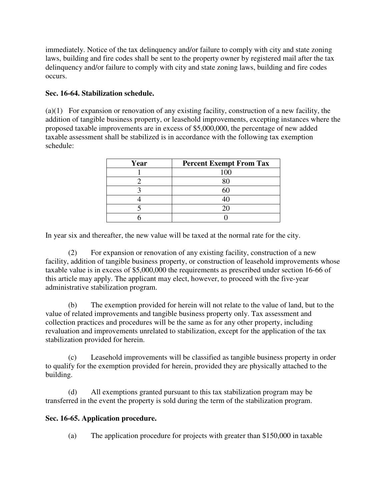immediately. Notice of the tax delinquency and/or failure to comply with city and state zoning laws, building and fire codes shall be sent to the property owner by registered mail after the tax delinquency and/or failure to comply with city and state zoning laws, building and fire codes occurs.

# **Sec. 16-64. Stabilization schedule.**

(a)(1) For expansion or renovation of any existing facility, construction of a new facility, the addition of tangible business property, or leasehold improvements, excepting instances where the proposed taxable improvements are in excess of \$5,000,000, the percentage of new added taxable assessment shall be stabilized is in accordance with the following tax exemption schedule:

| Year | <b>Percent Exempt From Tax</b> |
|------|--------------------------------|
|      | 100                            |
|      |                                |
|      |                                |
|      |                                |
|      |                                |
|      |                                |

In year six and thereafter, the new value will be taxed at the normal rate for the city.

(2) For expansion or renovation of any existing facility, construction of a new facility, addition of tangible business property, or construction of leasehold improvements whose taxable value is in excess of \$5,000,000 the requirements as prescribed under section 16-66 of this article may apply. The applicant may elect, however, to proceed with the five-year administrative stabilization program.

(b) The exemption provided for herein will not relate to the value of land, but to the value of related improvements and tangible business property only. Tax assessment and collection practices and procedures will be the same as for any other property, including revaluation and improvements unrelated to stabilization, except for the application of the tax stabilization provided for herein.

(c) Leasehold improvements will be classified as tangible business property in order to qualify for the exemption provided for herein, provided they are physically attached to the building.

(d) All exemptions granted pursuant to this tax stabilization program may be transferred in the event the property is sold during the term of the stabilization program.

## **Sec. 16-65. Application procedure.**

(a) The application procedure for projects with greater than \$150,000 in taxable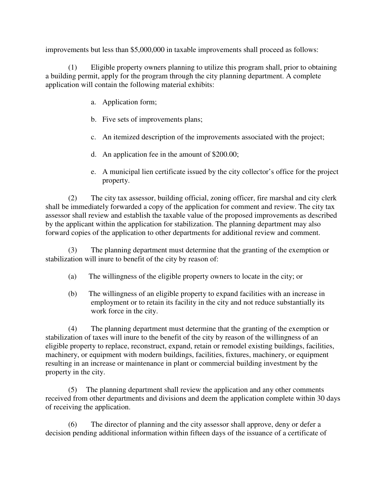improvements but less than \$5,000,000 in taxable improvements shall proceed as follows:

(1) Eligible property owners planning to utilize this program shall, prior to obtaining a building permit, apply for the program through the city planning department. A complete application will contain the following material exhibits:

- a. Application form;
- b. Five sets of improvements plans;
- c. An itemized description of the improvements associated with the project;
- d. An application fee in the amount of \$200.00;
- e. A municipal lien certificate issued by the city collector's office for the project property.

(2) The city tax assessor, building official, zoning officer, fire marshal and city clerk shall be immediately forwarded a copy of the application for comment and review. The city tax assessor shall review and establish the taxable value of the proposed improvements as described by the applicant within the application for stabilization. The planning department may also forward copies of the application to other departments for additional review and comment.

(3) The planning department must determine that the granting of the exemption or stabilization will inure to benefit of the city by reason of:

- (a) The willingness of the eligible property owners to locate in the city; or
- (b) The willingness of an eligible property to expand facilities with an increase in employment or to retain its facility in the city and not reduce substantially its work force in the city.

(4) The planning department must determine that the granting of the exemption or stabilization of taxes will inure to the benefit of the city by reason of the willingness of an eligible property to replace, reconstruct, expand, retain or remodel existing buildings, facilities, machinery, or equipment with modern buildings, facilities, fixtures, machinery, or equipment resulting in an increase or maintenance in plant or commercial building investment by the property in the city.

(5) The planning department shall review the application and any other comments received from other departments and divisions and deem the application complete within 30 days of receiving the application.

(6) The director of planning and the city assessor shall approve, deny or defer a decision pending additional information within fifteen days of the issuance of a certificate of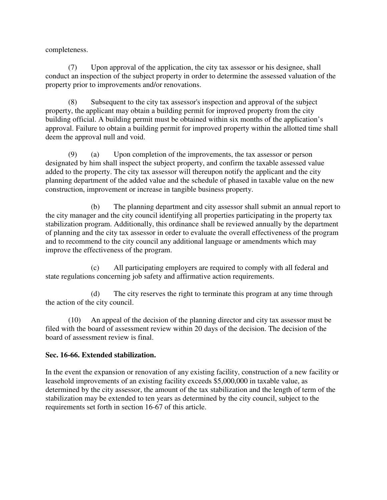completeness.

(7) Upon approval of the application, the city tax assessor or his designee, shall conduct an inspection of the subject property in order to determine the assessed valuation of the property prior to improvements and/or renovations.

(8) Subsequent to the city tax assessor's inspection and approval of the subject property, the applicant may obtain a building permit for improved property from the city building official. A building permit must be obtained within six months of the application's approval. Failure to obtain a building permit for improved property within the allotted time shall deem the approval null and void.

(9) (a) Upon completion of the improvements, the tax assessor or person designated by him shall inspect the subject property, and confirm the taxable assessed value added to the property. The city tax assessor will thereupon notify the applicant and the city planning department of the added value and the schedule of phased in taxable value on the new construction, improvement or increase in tangible business property.

(b) The planning department and city assessor shall submit an annual report to the city manager and the city council identifying all properties participating in the property tax stabilization program. Additionally, this ordinance shall be reviewed annually by the department of planning and the city tax assessor in order to evaluate the overall effectiveness of the program and to recommend to the city council any additional language or amendments which may improve the effectiveness of the program.

(c) All participating employers are required to comply with all federal and state regulations concerning job safety and affirmative action requirements.

(d) The city reserves the right to terminate this program at any time through the action of the city council.

(10) An appeal of the decision of the planning director and city tax assessor must be filed with the board of assessment review within 20 days of the decision. The decision of the board of assessment review is final.

## **Sec. 16-66. Extended stabilization.**

In the event the expansion or renovation of any existing facility, construction of a new facility or leasehold improvements of an existing facility exceeds \$5,000,000 in taxable value, as determined by the city assessor, the amount of the tax stabilization and the length of term of the stabilization may be extended to ten years as determined by the city council, subject to the requirements set forth in section 16-67 of this article.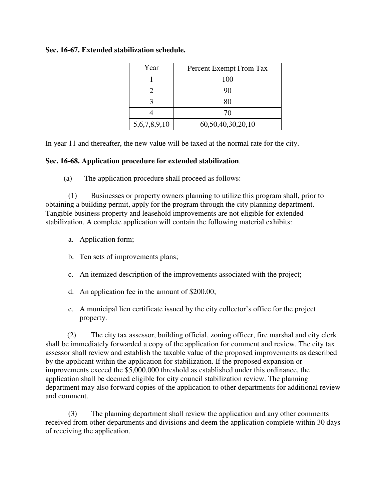## **Sec. 16-67. Extended stabilization schedule.**

| Year         | Percent Exempt From Tax |
|--------------|-------------------------|
|              | 100                     |
|              | 90                      |
|              | 80                      |
|              | 70                      |
| 5,6,7,8,9,10 | 60,50,40,30,20,10       |

In year 11 and thereafter, the new value will be taxed at the normal rate for the city.

### **Sec. 16-68. Application procedure for extended stabilization**.

(a) The application procedure shall proceed as follows:

(1) Businesses or property owners planning to utilize this program shall, prior to obtaining a building permit, apply for the program through the city planning department. Tangible business property and leasehold improvements are not eligible for extended stabilization. A complete application will contain the following material exhibits:

- a. Application form;
- b. Ten sets of improvements plans;
- c. An itemized description of the improvements associated with the project;
- d. An application fee in the amount of \$200.00;
- e. A municipal lien certificate issued by the city collector's office for the project property.

(2) The city tax assessor, building official, zoning officer, fire marshal and city clerk shall be immediately forwarded a copy of the application for comment and review. The city tax assessor shall review and establish the taxable value of the proposed improvements as described by the applicant within the application for stabilization. If the proposed expansion or improvements exceed the \$5,000,000 threshold as established under this ordinance, the application shall be deemed eligible for city council stabilization review. The planning department may also forward copies of the application to other departments for additional review and comment.

(3) The planning department shall review the application and any other comments received from other departments and divisions and deem the application complete within 30 days of receiving the application.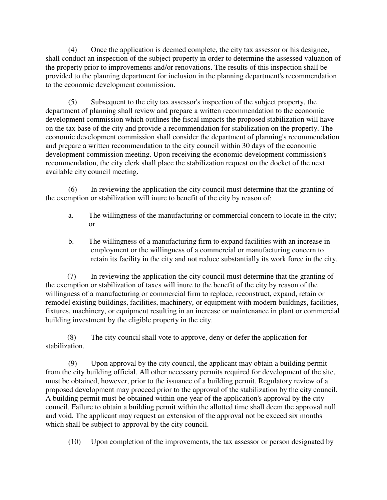(4) Once the application is deemed complete, the city tax assessor or his designee, shall conduct an inspection of the subject property in order to determine the assessed valuation of the property prior to improvements and/or renovations. The results of this inspection shall be provided to the planning department for inclusion in the planning department's recommendation to the economic development commission.

(5) Subsequent to the city tax assessor's inspection of the subject property, the department of planning shall review and prepare a written recommendation to the economic development commission which outlines the fiscal impacts the proposed stabilization will have on the tax base of the city and provide a recommendation for stabilization on the property. The economic development commission shall consider the department of planning's recommendation and prepare a written recommendation to the city council within 30 days of the economic development commission meeting. Upon receiving the economic development commission's recommendation, the city clerk shall place the stabilization request on the docket of the next available city council meeting.

(6) In reviewing the application the city council must determine that the granting of the exemption or stabilization will inure to benefit of the city by reason of:

- a. The willingness of the manufacturing or commercial concern to locate in the city; or
- b. The willingness of a manufacturing firm to expand facilities with an increase in employment or the willingness of a commercial or manufacturing concern to retain its facility in the city and not reduce substantially its work force in the city.

(7) In reviewing the application the city council must determine that the granting of the exemption or stabilization of taxes will inure to the benefit of the city by reason of the willingness of a manufacturing or commercial firm to replace, reconstruct, expand, retain or remodel existing buildings, facilities, machinery, or equipment with modern buildings, facilities, fixtures, machinery, or equipment resulting in an increase or maintenance in plant or commercial building investment by the eligible property in the city.

(8) The city council shall vote to approve, deny or defer the application for stabilization.

(9) Upon approval by the city council, the applicant may obtain a building permit from the city building official. All other necessary permits required for development of the site, must be obtained, however, prior to the issuance of a building permit. Regulatory review of a proposed development may proceed prior to the approval of the stabilization by the city council. A building permit must be obtained within one year of the application's approval by the city council. Failure to obtain a building permit within the allotted time shall deem the approval null and void. The applicant may request an extension of the approval not be exceed six months which shall be subject to approval by the city council.

(10) Upon completion of the improvements, the tax assessor or person designated by